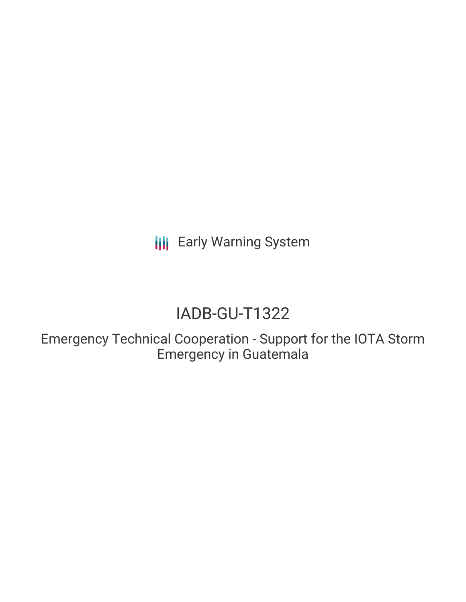**III** Early Warning System

# IADB-GU-T1322

Emergency Technical Cooperation - Support for the IOTA Storm Emergency in Guatemala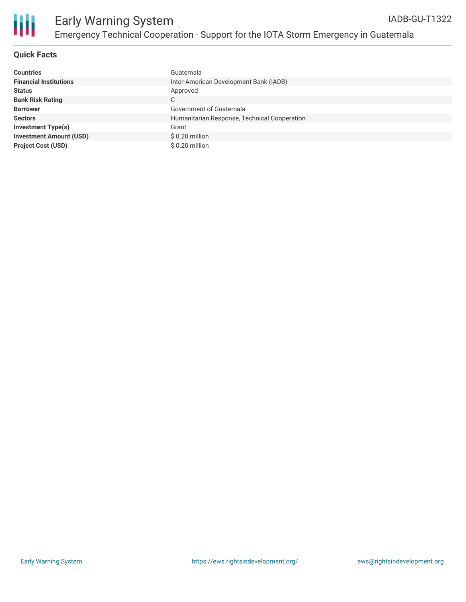

#### **Quick Facts**

| <b>Countries</b>               | Guatemala                                    |
|--------------------------------|----------------------------------------------|
| <b>Financial Institutions</b>  | Inter-American Development Bank (IADB)       |
| <b>Status</b>                  | Approved                                     |
| <b>Bank Risk Rating</b>        | C                                            |
| <b>Borrower</b>                | Government of Guatemala                      |
| <b>Sectors</b>                 | Humanitarian Response, Technical Cooperation |
| <b>Investment Type(s)</b>      | Grant                                        |
| <b>Investment Amount (USD)</b> | $$0.20$ million                              |
| <b>Project Cost (USD)</b>      | \$0.20 million                               |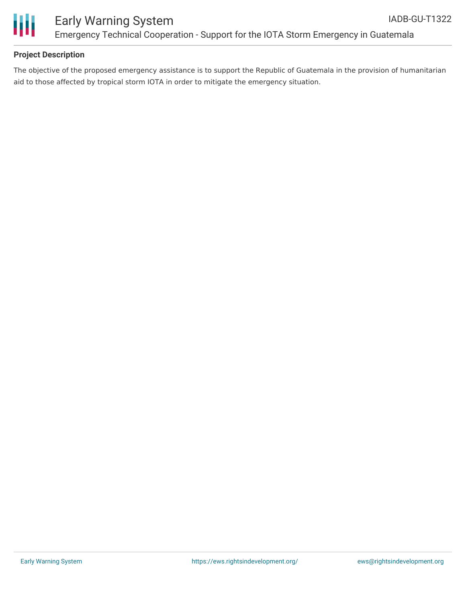



#### **Project Description**

The objective of the proposed emergency assistance is to support the Republic of Guatemala in the provision of humanitarian aid to those affected by tropical storm IOTA in order to mitigate the emergency situation.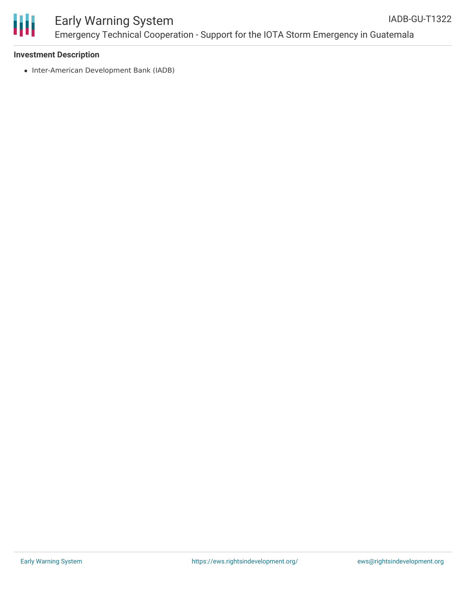

#### Early Warning System Emergency Technical Cooperation - Support for the IOTA Storm Emergency in Guatemala IADB-GU-T1322

#### **Investment Description**

• Inter-American Development Bank (IADB)